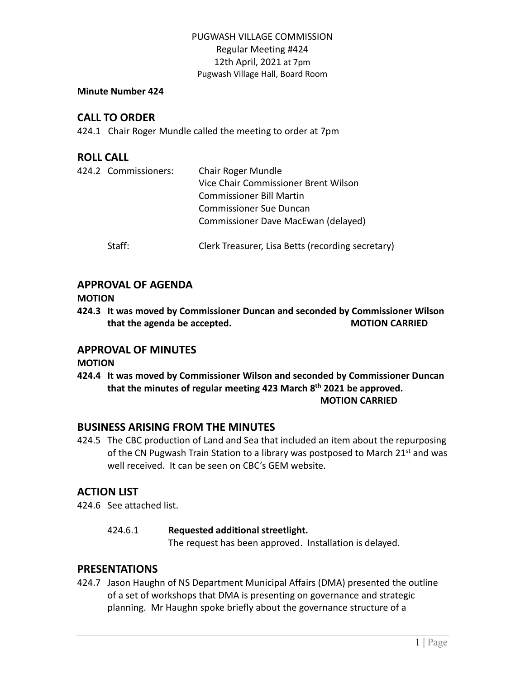#### **Minute Number 424**

# **CALL TO ORDER**

424.1 Chair Roger Mundle called the meeting to order at 7pm

# **ROLL CALL**

| 424.2 Commissioners: | Chair Roger Mundle<br>Vice Chair Commissioner Brent Wilson<br><b>Commissioner Bill Martin</b><br><b>Commissioner Sue Duncan</b><br>Commissioner Dave MacEwan (delayed) |
|----------------------|------------------------------------------------------------------------------------------------------------------------------------------------------------------------|
| Staff:               | Clerk Treasurer, Lisa Betts (recording secretary)                                                                                                                      |

# **APPROVAL OF AGENDA**

**MOTION**

**424.3 It was moved by Commissioner Duncan and seconded by Commissioner Wilson that the agenda be accepted. MOTION CARRIED**

# **APPROVAL OF MINUTES**

**MOTION**

**424.4 It was moved by Commissioner Wilson and seconded by Commissioner Duncan that the minutes of regular meeting 423 March 8 th 2021 be approved. MOTION CARRIED**

# **BUSINESS ARISING FROM THE MINUTES**

424.5 The CBC production of Land and Sea that included an item about the repurposing of the CN Pugwash Train Station to a library was postposed to March 21 $<sup>st</sup>$  and was</sup> well received. It can be seen on CBC's GEM website.

# **ACTION LIST**

424.6 See attached list.

# 424.6.1 **Requested additional streetlight.**

The request has been approved. Installation is delayed.

# **PRESENTATIONS**

424.7 Jason Haughn of NS Department Municipal Affairs (DMA) presented the outline of a set of workshops that DMA is presenting on governance and strategic planning. Mr Haughn spoke briefly about the governance structure of a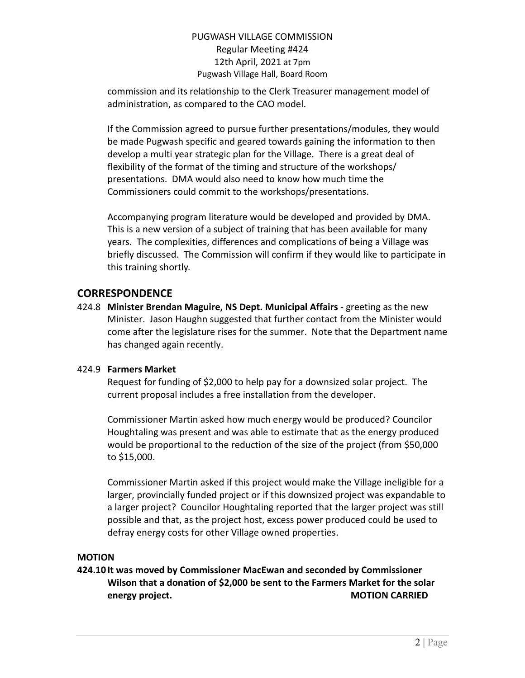commission and its relationship to the Clerk Treasurer management model of administration, as compared to the CAO model.

If the Commission agreed to pursue further presentations/modules, they would be made Pugwash specific and geared towards gaining the information to then develop a multi year strategic plan for the Village. There is a great deal of flexibility of the format of the timing and structure of the workshops/ presentations. DMA would also need to know how much time the Commissioners could commit to the workshops/presentations.

Accompanying program literature would be developed and provided by DMA. This is a new version of a subject of training that has been available for many years. The complexities, differences and complications of being a Village was briefly discussed. The Commission will confirm if they would like to participate in this training shortly.

# **CORRESPONDENCE**

424.8 **Minister Brendan Maguire, NS Dept. Municipal Affairs** - greeting as the new Minister. Jason Haughn suggested that further contact from the Minister would come after the legislature rises for the summer. Note that the Department name has changed again recently.

### 424.9 **Farmers Market**

Request for funding of \$2,000 to help pay for a downsized solar project. The current proposal includes a free installation from the developer.

Commissioner Martin asked how much energy would be produced? Councilor Houghtaling was present and was able to estimate that as the energy produced would be proportional to the reduction of the size of the project (from \$50,000 to \$15,000.

Commissioner Martin asked if this project would make the Village ineligible for a larger, provincially funded project or if this downsized project was expandable to a larger project? Councilor Houghtaling reported that the larger project was still possible and that, as the project host, excess power produced could be used to defray energy costs for other Village owned properties.

### **MOTION**

**424.10 It was moved by Commissioner MacEwan and seconded by Commissioner Wilson that a donation of \$2,000 be sent to the Farmers Market for the solar energy** project. **MOTION CARRIED**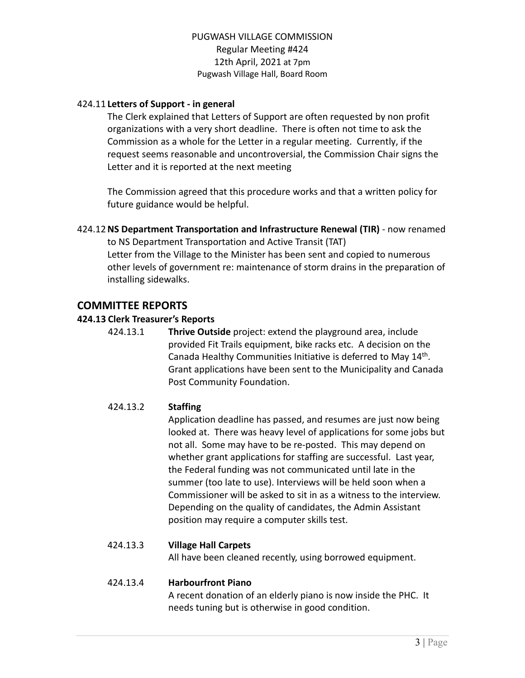### 424.11 **Letters of Support - in general**

The Clerk explained that Letters of Support are often requested by non profit organizations with a very short deadline. There is often not time to ask the Commission as a whole for the Letter in a regular meeting. Currently, if the request seems reasonable and uncontroversial, the Commission Chair signs the Letter and it is reported at the next meeting

The Commission agreed that this procedure works and that a written policy for future guidance would be helpful.

424.12**NS Department Transportation and Infrastructure Renewal (TIR)** - now renamed to NS Department Transportation and Active Transit (TAT) Letter from the Village to the Minister has been sent and copied to numerous other levels of government re: maintenance of storm drains in the preparation of installing sidewalks.

### **COMMITTEE REPORTS**

#### **424.13 Clerk Treasurer's Reports**

424.13.1 **Thrive Outside** project: extend the playground area, include provided Fit Trails equipment, bike racks etc. A decision on the Canada Healthy Communities Initiative is deferred to May 14<sup>th</sup>. Grant applications have been sent to the Municipality and Canada Post Community Foundation.

### 424.13.2 **Staffing**

Application deadline has passed, and resumes are just now being looked at. There was heavy level of applications for some jobs but not all. Some may have to be re-posted. This may depend on whether grant applications for staffing are successful. Last year, the Federal funding was not communicated until late in the summer (too late to use). Interviews will be held soon when a Commissioner will be asked to sit in as a witness to the interview. Depending on the quality of candidates, the Admin Assistant position may require a computer skills test.

### 424.13.3 **Village Hall Carpets**

All have been cleaned recently, using borrowed equipment.

#### 424.13.4 **Harbourfront Piano**

A recent donation of an elderly piano is now inside the PHC. It needs tuning but is otherwise in good condition.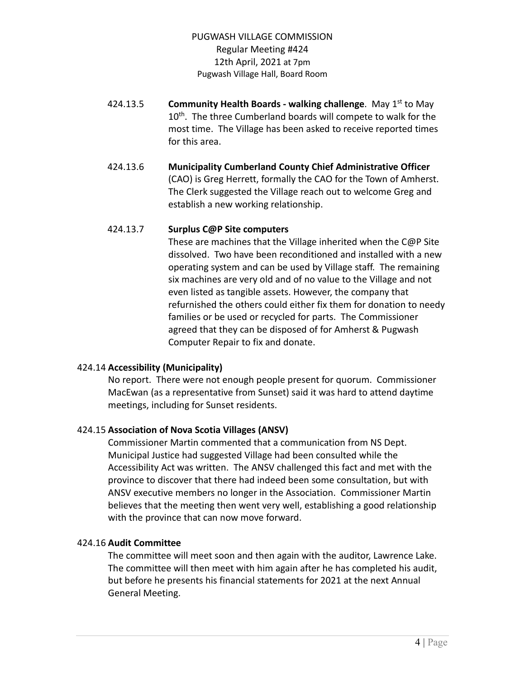- 424.13.5 **Community Health Boards - walking challenge**. May 1 st to May 10<sup>th</sup>. The three Cumberland boards will compete to walk for the most time. The Village has been asked to receive reported times for this area.
- 424.13.6 **Municipality Cumberland County Chief Administrative Officer** (CAO) is Greg Herrett, formally the CAO for the Town of Amherst. The Clerk suggested the Village reach out to welcome Greg and establish a new working relationship.

#### 424.13.7 **Surplus C@P Site computers**

These are machines that the Village inherited when the C@P Site dissolved. Two have been reconditioned and installed with a new operating system and can be used by Village staff. The remaining six machines are very old and of no value to the Village and not even listed as tangible assets. However, the company that refurnished the others could either fix them for donation to needy families or be used or recycled for parts. The Commissioner agreed that they can be disposed of for Amherst & Pugwash Computer Repair to fix and donate.

### 424.14 **Accessibility (Municipality)**

No report. There were not enough people present for quorum. Commissioner MacEwan (as a representative from Sunset) said it was hard to attend daytime meetings, including for Sunset residents.

### 424.15 **Association of Nova Scotia Villages (ANSV)**

Commissioner Martin commented that a communication from NS Dept. Municipal Justice had suggested Village had been consulted while the Accessibility Act was written. The ANSV challenged this fact and met with the province to discover that there had indeed been some consultation, but with ANSV executive members no longer in the Association. Commissioner Martin believes that the meeting then went very well, establishing a good relationship with the province that can now move forward.

#### 424.16 **Audit Committee**

The committee will meet soon and then again with the auditor, Lawrence Lake. The committee will then meet with him again after he has completed his audit, but before he presents his financial statements for 2021 at the next Annual General Meeting.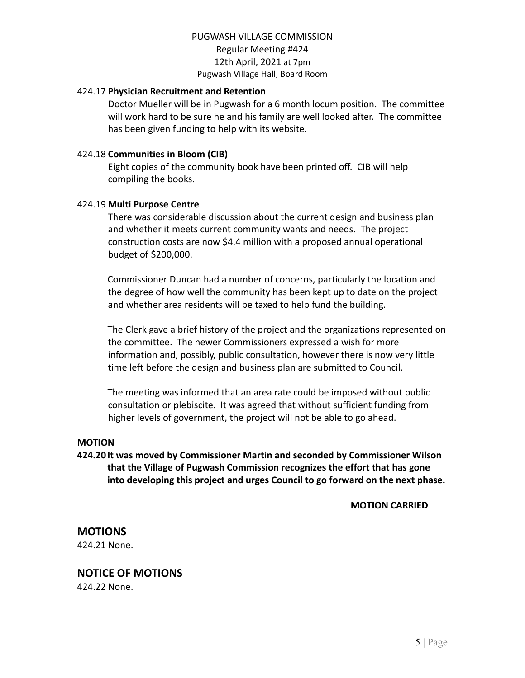#### 424.17 **Physician Recruitment and Retention**

Doctor Mueller will be in Pugwash for a 6 month locum position. The committee will work hard to be sure he and his family are well looked after. The committee has been given funding to help with its website.

#### 424.18 **Communities in Bloom (CIB)**

Eight copies of the community book have been printed off. CIB will help compiling the books.

#### 424.19 **Multi Purpose Centre**

There was considerable discussion about the current design and business plan and whether it meets current community wants and needs. The project construction costs are now \$4.4 million with a proposed annual operational budget of \$200,000.

Commissioner Duncan had a number of concerns, particularly the location and the degree of how well the community has been kept up to date on the project and whether area residents will be taxed to help fund the building.

The Clerk gave a brief history of the project and the organizations represented on the committee. The newer Commissioners expressed a wish for more information and, possibly, public consultation, however there is now very little time left before the design and business plan are submitted to Council.

The meeting was informed that an area rate could be imposed without public consultation or plebiscite. It was agreed that without sufficient funding from higher levels of government, the project will not be able to go ahead.

#### **MOTION**

**424.20 It was moved by Commissioner Martin and seconded by Commissioner Wilson that the Village of Pugwash Commission recognizes the effort that has gone into developing this project and urges Council to go forward on the next phase.**

#### **MOTION CARRIED**

# **MOTIONS**

424.21 None.

# **NOTICE OF MOTIONS**

424.22 None.